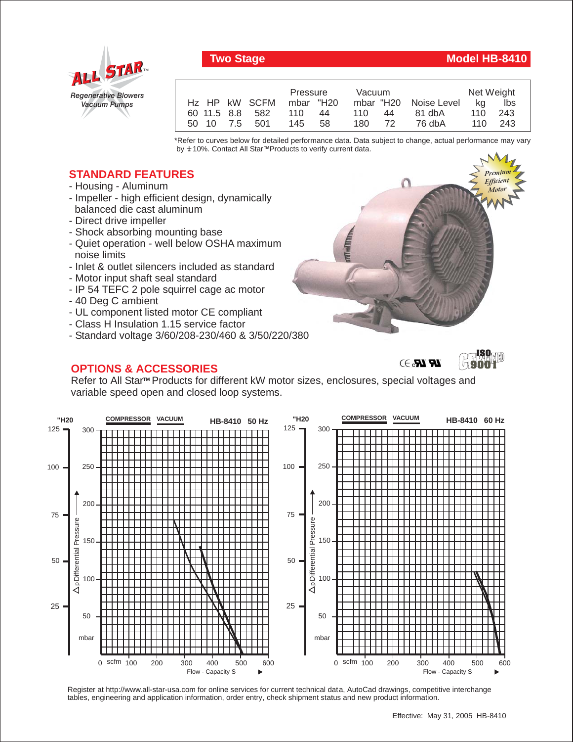

## **Two Stage Model HB-8410**

|                 | Pressure<br>Vacuum |           |                       | Net Weight |     |
|-----------------|--------------------|-----------|-----------------------|------------|-----|
| Hz HP kW SCFM   | mbar "H20          |           | mbar "H20 Noise Level | ka         | lbs |
| 60 11.5 8.8 582 | 110<br>44          | 110<br>44 | 81 dbA                | 110        | 243 |
| 50 10 7.5 501   | 145 58             | 180<br>72 | 76 dbA                | 110 243    |     |

\*Refer to curves below for detailed performance data. Data subject to change, actual performance may vary by **+** 10%. Contact All Star™Products to verify current data.

## **STANDARD FEATURES**

- Housing Aluminum
- Impeller high efficient design, dynamically balanced die cast aluminum
- Direct drive impeller
- Shock absorbing mounting base
- Quiet operation well below OSHA maximum noise limits
- Inlet & outlet silencers included as standard
- Motor input shaft seal standard
- IP 54 TEFC 2 pole squirrel cage ac motor
- 40 Deg C ambient
- UL component listed motor CE compliant
- Class H Insulation 1.15 service factor
- Standard voltage 3/60/208-230/460 & 3/50/220/380

## **OPTIONS & ACCESSORIES**



 $\mathcal{U}$   $\mathcal{U}$ 



Refer to All Star™ Products for different kW motor sizes, enclosures, special voltages and variable speed open and closed loop systems.



Register at http://www.all-star-usa.com for online services for current technical data, AutoCad drawings, competitive interchange tables, engineering and application information, order entry, check shipment status and new product information.